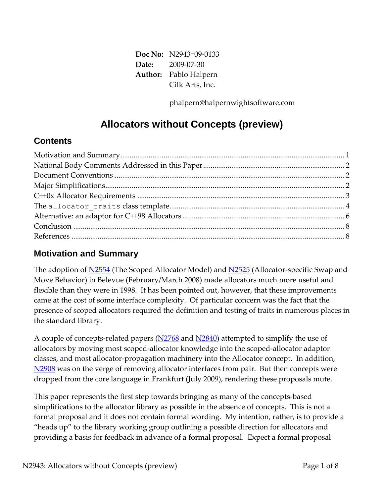**Doc No:** N2943=09-0133 **Date:** 2009-07-30 **Author:** Pablo Halpern Cilk Arts, Inc.

phalpern@halpernwightsoftware.com

# **Allocators without Concepts (preview)**

#### **Contents**

#### **Motivation and Summary**

The adoption of [N2554](http://www.open-std.org/jtc1/sc22/wg21/docs/papers/2008/n2554.pdf) (The Scoped Allocator Model) and [N2525](http://www.open-std.org/jtc1/sc22/wg21/docs/papers/2008/n2525.pdf) (Allocator-specific Swap and Move Behavior) in Belevue (February/March 2008) made allocators much more useful and flexible than they were in 1998. It has been pointed out, however, that these improvements came at the cost of some interface complexity. Of particular concern was the fact that the presence of scoped allocators required the definition and testing of traits in numerous places in the standard library.

A couple of concepts-related papers ( $N2768$  and  $N2840$ ) attempted to simplify the use of allocators by moving most scoped-allocator knowledge into the scoped-allocator adaptor classes, and most allocator-propagation machinery into the Allocator concept. In addition, [N2908](http://www.open-std.org/jtc1/sc22/wg21/docs/papers/2009/n2908.pdf) was on the verge of removing allocator interfaces from pair. But then concepts were dropped from the core language in Frankfurt (July 2009), rendering these proposals mute.

This paper represents the first step towards bringing as many of the concepts-based simplifications to the allocator library as possible in the absence of concepts. This is not a formal proposal and it does not contain formal wording. My intention, rather, is to provide a "heads up" to the library working group outlining a possible direction for allocators and providing a basis for feedback in advance of a formal proposal. Expect a formal proposal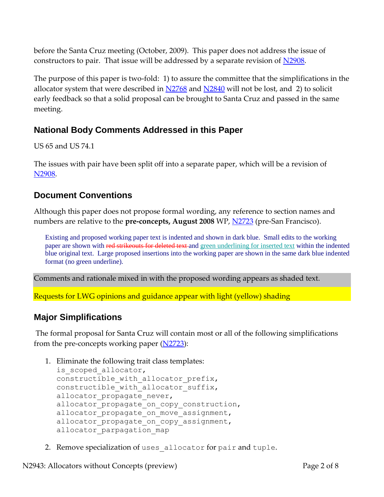before the Santa Cruz meeting (October, 2009). This paper does not address the issue of constructors to pair. That issue will be addressed by a separate revision of [N2908.](http://www.open-std.org/jtc1/sc22/wg21/docs/papers/2009/n2908.pdf)

The purpose of this paper is two-fold: 1) to assure the committee that the simplifications in the allocator system that were described in  $N2768$  and  $N2840$  will not be lost, and 2) to solicit early feedback so that a solid proposal can be brought to Santa Cruz and passed in the same meeting.

### **National Body Comments Addressed in this Paper**

US 65 and US 74.1

The issues with pair have been split off into a separate paper, which will be a revision of [N2908.](http://www.open-std.org/jtc1/sc22/wg21/docs/papers/2009/n2908.pdf)

#### **Document Conventions**

Although this paper does not propose formal wording, any reference to section names and numbers are relative to the **pre-concepts, August 2008** WP, [N2723](http://www.open-std.org/jtc1/sc22/wg21/docs/papers/2008/n2723.pdf) (pre-San Francisco).

Existing and proposed working paper text is indented and shown in dark blue. Small edits to the working paper are shown with red strikeouts for deleted text and green underlining for inserted text within the indented blue original text. Large proposed insertions into the working paper are shown in the same dark blue indented format (no green underline).

Comments and rationale mixed in with the proposed wording appears as shaded text.

Requests for LWG opinions and guidance appear with light (yellow) shading

#### **Major Simplifications**

The formal proposal for Santa Cruz will contain most or all of the following simplifications from the pre-concepts working paper  $(N2723)$ :

1. Eliminate the following trait class templates:

```
is scoped allocator,
constructible with allocator prefix,
constructible with allocator suffix,
allocator propagate never,
allocator propagate on copy construction,
allocator propagate on move assignment,
allocator propagate on copy assignment,
allocator parpagation map
```
2. Remove specialization of uses allocator for pair and tuple.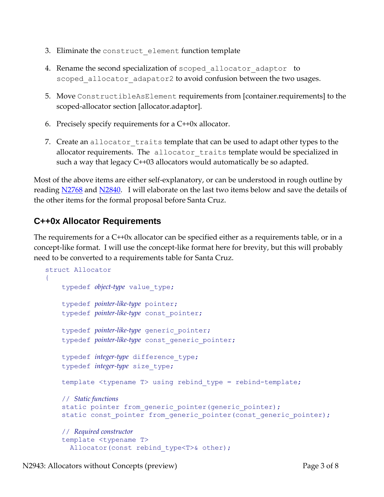- 3. Eliminate the construct element function template
- 4. Rename the second specialization of scoped allocator adaptor to scoped allocator adapator2 to avoid confusion between the two usages.
- 5. Move ConstructibleAsElement requirements from [container.requirements] to the scoped-allocator section [allocator.adaptor].
- 6. Precisely specify requirements for a C++0x allocator.
- 7. Create an allocator traits template that can be used to adapt other types to the allocator requirements. The allocator traits template would be specialized in such a way that legacy C++03 allocators would automatically be so adapted.

Most of the above items are either self-explanatory, or can be understood in rough outline by reading [N2768](http://www.open-std.org/jtc1/sc22/wg21/docs/papers/2008/n2768.pdf) and [N2840.](http://www.open-std.org/jtc1/sc22/wg21/docs/papers/2009/n2840.pdf) I will elaborate on the last two items below and save the details of the other items for the formal proposal before Santa Cruz.

### **C++0x Allocator Requirements**

The requirements for a C++0x allocator can be specified either as a requirements table, or in a concept-like format. I will use the concept-like format here for brevity, but this will probably need to be converted to a requirements table for Santa Cruz.

```
struct Allocator
{
     typedef object-type value_type;
     typedef pointer-like-type pointer;
     typedef pointer-like-type const_pointer;
     typedef pointer-like-type generic_pointer;
     typedef pointer-like-type const_generic_pointer;
     typedef integer-type difference_type;
     typedef integer-type size_type;
     template <typename T> using rebind_type = rebind-template;
     // Static functions
    static pointer from generic pointer(generic pointer);
    static const pointer from generic pointer(const generic pointer);
     // Required constructor
     template <typename T>
      Allocator(const rebind type<T>& other);
```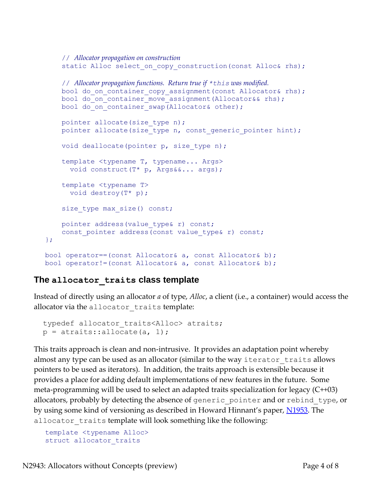```
 // Allocator propagation on construction
    static Alloc select on copy construction(const Alloc& rhs);
     // Allocator propagation functions. Return true if *this was modified.
    bool do on container copy assignment(const Allocator& rhs);
    bool do on container move assignment (Allocator&& rhs);
    bool do on container swap(Allocator& other);
    pointer allocate(size type n);
    pointer allocate(size type n, const generic pointer hint);
    void deallocate(pointer p, size type n);
     template <typename T, typename... Args>
       void construct(T* p, Args&&... args);
     template <typename T>
       void destroy(T* p);
    size type max size() const;
    pointer address (value type& r) const;
    const pointer address(const value type& r) const;
bool operator==(const Allocator& a, const Allocator& b);
bool operator!=(const Allocator& a, const Allocator& b);
```
#### **The allocator\_traits class template**

};

Instead of directly using an allocator *a* of type, *Alloc*, a client (i.e., a container) would access the allocator via the allocator traits template:

```
typedef allocator traits<Alloc> atraits;
p = \text{atraits:}:\text{allocate(a, 1)};
```
This traits approach is clean and non-intrusive. It provides an adaptation point whereby almost any type can be used as an allocator (similar to the way iterator traits allows pointers to be used as iterators). In addition, the traits approach is extensible because it provides a place for adding default implementations of new features in the future. Some meta-programming will be used to select an adapted traits specialization for legacy (C++03) allocators, probably by detecting the absence of generic pointer and or rebind type, or by using some kind of versioning as described in Howard Hinnant's paper, [N1953.](http://www.open-std.org/jtc1/sc22/wg21/docs/papers/2006/n1953.htm) The allocator traits template will look something like the following:

```
template <typename Alloc>
struct allocator traits
```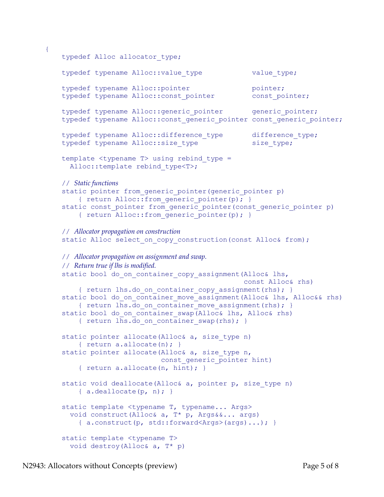```
typedef Alloc allocator type;
typedef typename Alloc::value type value type;
typedef typename Alloc::pointer pointer;
 typedef typename Alloc::const_pointer const_pointer;
typedef typename Alloc:: generic pointer generic pointer;
typedef typename Alloc:: const generic pointer const_generic_pointer;
typedef typename Alloc::difference_type difference_type;
typedef typename Alloc::size type size type;
template <typename T> using rebind type =
  Alloc::template rebind type<T>;
 // Static functions
static pointer from generic pointer(generic pointer p)
    { return Alloc:: from generic pointer(p); }
static const pointer from generic pointer(const generic pointer p)
    { return Alloc:: from generic pointer(p); }
 // Allocator propagation on construction
static Alloc select on copy construction(const Alloc& from);
 // Allocator propagation on assignment and swap.
 // Return true if lhs is modified.
static bool do on container copy assignment (Alloc& lhs,
                                             const Alloc& rhs)
    { return lhs.do on container copy assignment(rhs); }
static bool do on container move assignment(Alloc& lhs, Alloc&& rhs)
    { return lhs.do on container move assignment(rhs); }
static bool do on container swap(Alloc& lhs, Alloc& rhs)
    { return lhs.do on container swap(rhs); }
static pointer allocate (Alloc& a, size type n)
     { return a.allocate(n); }
static pointer allocate(Alloc& a, size type n,
                        const generic pointer hint)
    { return a.allocate(n, hint); }
static void deallocate(Alloc& a, pointer p, size type n)
    { a. deallocate (p, n); }
static template <typename T, typename... Args>
   void construct(Alloc& a, T* p, Args&&... args)
     { a.construct(p, std::forward<Args>(args)...); }
 static template <typename T>
```
void destroy(Alloc& a, T\* p)

{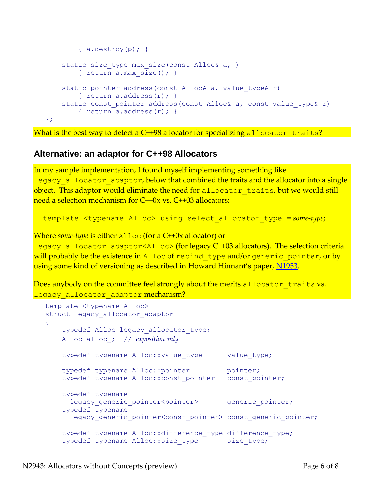```
{ a.destroy(p) ; }
   static size type max size(const Alloc& a, )
        { return a.max size(); }
   static pointer address(const Alloc& a, value type& r)
        { return a.address(r); }
   static const pointer address(const Alloc& a, const value type& r)
        { return a.address(r); }
};
```
What is the best way to detect a C++98 allocator for specializing allocator traits?

#### **Alternative: an adaptor for C++98 Allocators**

In my sample implementation, I found myself implementing something like legacy allocator adaptor, below that combined the traits and the allocator into a single object. This adaptor would eliminate the need for allocator traits, but we would still need a selection mechanism for C++0x vs. C++03 allocators:

template <typename Alloc> using select\_allocator\_type = *some-type*;

Where *some-type* is either Alloc (for a C++0x allocator) or

legacy allocator adaptor<Alloc> (for legacy C++03 allocators). The selection criteria will probably be the existence in Alloc of rebind type and/or generic pointer, or by using some kind of versioning as described in Howard Hinnant's paper, [N1953.](http://www.open-std.org/jtc1/sc22/wg21/docs/papers/2006/n1953.htm)

Does anybody on the committee feel strongly about the merits allocator traits vs. legacy allocator adaptor mechanism?

```
template <typename Alloc>
struct legacy allocator adaptor
{
   typedef Alloc legacy allocator type;
    Alloc alloc_; // exposition only
   typedef typename Alloc::value type value type;
   typedef typename Alloc::pointer pointer;
   typedef typename Alloc:: const pointer const pointer;
    typedef typename
     legacy generic pointer<pointer> generic pointer;
    typedef typename
     legacy generic pointer<const pointer> const generic pointer;
   typedef typename Alloc::difference type difference type;
   typedef typename Alloc::size type size type;
```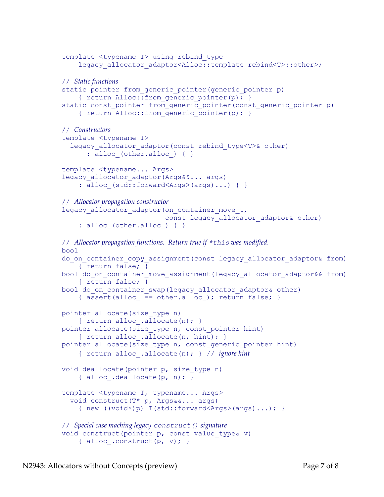```
template ltypename T> using rebind type =
    legacy allocator adaptor<Alloc::template rebind<T>::other>;
 // Static functions
static pointer from generic pointer(generic pointer p)
    { return Alloc:: from generic pointer(p); }
static const pointer from generic pointer (const generic pointer p)
    { return Alloc:: from generic pointer(p); }
 // Constructors
 template <typename T>
  legacy allocator adaptor(const rebind type<T>& other)
      : alloc (other.alloc ) \{ \} template <typename... Args>
legacy allocator adaptor(Args&&... args)
    : alloc (std::forward<Args>(args)...) { }
 // Allocator propagation constructor
legacy allocator adaptor (on container move t,
                          const legacy allocator adaptor& other)
    : alloc (other.alloc ) { }
 // Allocator propagation functions. Return true if *this was modified.
 bool 
do on container copy assignment (const legacy allocator adaptor& from)
     { return false; }
bool do on container move assignment(legacy allocator adaptor&& from)
     { return false; }
bool do on container swap(legacy allocator adaptor& other)
    { assert(alloc == other.alloc ); return false; }
 pointer allocate(size_type n)
    { return alloc .allocate(n); }
pointer allocate(size type n, const pointer hint)
    { return alloc .allocate(n, hint); }
pointer allocate(size type n, const generic pointer hint)
     { return alloc_.allocate(n); } // ignore hint
 void deallocate(pointer p, size_type n)
     { alloc_.deallocate(p, n); }
 template <typename T, typename... Args>
   void construct(T* p, Args&&... args)
    { new ((void*)p) T(std::forward<Args>(args)...); // Special case maching legacy construct() signature
void construct(pointer p, const value type& v)
    { alloc .construct(p, v); }
```